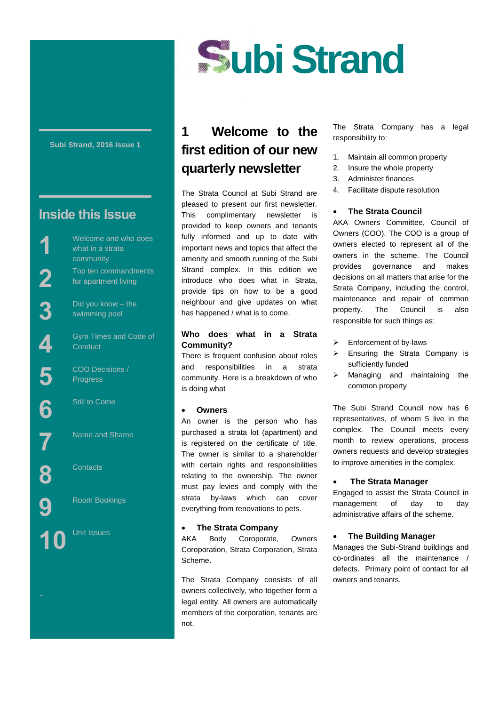

#### **Subi Strand, 2016 Issue 1**

# **Inside this Issue**

**1**

**2**

**3**

**4**

**5**

**6**

**7**

**8**

**9**

Street

Welcome and who does what in a strata community Top ten commandments for apartment living

Did you know – the swimming pool

Gym Times and Code of **Conduct** 

COO Decisions / Progress

Still to Come

Name and Shame

**Contacts** 

Room Bookings



# **1 Welcome to the first edition of our new quarterly newsletter**

The Strata Council at Subi Strand are pleased to present our first newsletter. This complimentary newsletter is provided to keep owners and tenants fully informed and up to date with important news and topics that affect the amenity and smooth running of the Subi Strand complex. In this edition we introduce who does what in Strata, provide tips on how to be a good neighbour and give updates on what has happened / what is to come.

### **Who does what in a Strata Community?**

There is frequent confusion about roles and responsibilities in a strata community. Here is a breakdown of who is doing what

#### **Owners**

An owner is the person who has purchased a strata lot (apartment) and is registered on the certificate of title. The owner is similar to a shareholder with certain rights and responsibilities relating to the ownership. The owner must pay levies and comply with the strata by-laws which can cover everything from renovations to pets.

#### **The Strata Company**

AKA Body Coroporate, Owners Coroporation, Strata Corporation, Strata Scheme.

The Strata Company consists of all owners collectively, who together form a legal entity. All owners are automatically members of the corporation, tenants are not.

The Strata Company has a legal responsibility to:

- 1. Maintain all common property
- 2. Insure the whole property
- 3. Administer finances
- 4. Facilitate dispute resolution

#### **The Strata Council**

AKA Owners Committee, Council of Owners (COO). The COO is a group of owners elected to represent all of the owners in the scheme. The Council provides governance and makes decisions on all matters that arise for the Strata Company, including the control, maintenance and repair of common property. The Council is also responsible for such things as:

- $\triangleright$  Enforcement of by-laws
- $\triangleright$  Ensuring the Strata Company is sufficiently funded
- > Managing and maintaining the common property

The Subi Strand Council now has 6 representatives, of whom 5 live in the complex. The Council meets every month to review operations, process owners requests and develop strategies to improve amenities in the complex.

#### **The Strata Manager**

Engaged to assist the Strata Council in management of day to day administrative affairs of the scheme.

### **The Building Manager**

Manages the Subi-Strand buildings and co-ordinates all the maintenance / defects. Primary point of contact for all owners and tenants.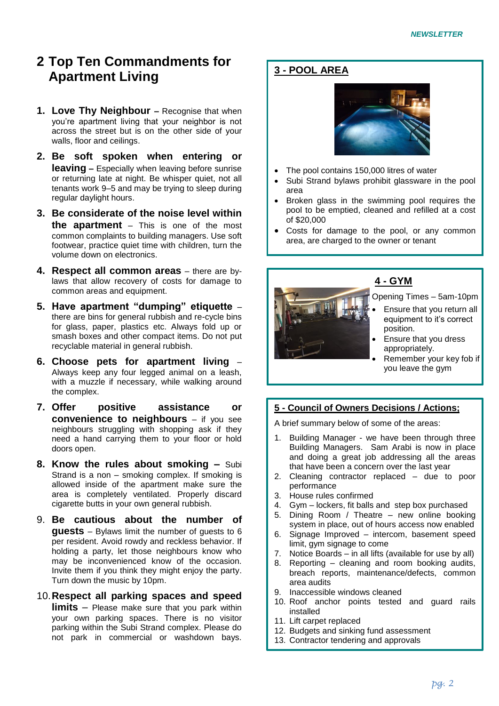# **2 Top Ten Commandments for Apartment Living**

- **1. Love Thy Neighbour -** Recognise that when you're apartment living that your neighbor is not across the street but is on the other side of your walls, floor and ceilings.
- **2. Be soft spoken when entering or leaving –** Especially when leaving before sunrise or returning late at night. Be whisper quiet, not all tenants work 9–5 and may be trying to sleep during regular daylight hours.
- **3. Be considerate of the noise level within the apartment** – This is one of the most common complaints to building managers. Use soft footwear, practice quiet time with children, turn the volume down on electronics.
- **4. Respect all common areas** there are bylaws that allow recovery of costs for damage to common areas and equipment.
- **5. Have apartment "dumping" etiquette**  there are bins for general rubbish and re-cycle bins for glass, paper, plastics etc. Always fold up or smash boxes and other compact items. Do not put recyclable material in general rubbish.
- **6. Choose pets for apartment living** Always keep any four legged animal on a leash, with a muzzle if necessary, while walking around the complex.
- **7. Offer positive assistance or convenience to neighbours** – if you see neighbours struggling with shopping ask if they need a hand carrying them to your floor or hold doors open.
- **8. Know the rules about smoking –** Subi Strand is a non – smoking complex. If smoking is allowed inside of the apartment make sure the area is completely ventilated. Properly discard cigarette butts in your own general rubbish.
- 9. **Be cautious about the number of guests** – Bylaws limit the number of guests to 6 per resident. Avoid rowdy and reckless behavior. If holding a party, let those neighbours know who may be inconvenienced know of the occasion. Invite them if you think they might enjoy the party. Turn down the music by 10pm.

## 10.**Respect all parking spaces and speed**

**limits** – Please make sure that you park within your own parking spaces. There is no visitor parking within the Subi Strand complex. Please do not park in commercial or washdown bays.

# **3 - POOL AREA**



- The pool contains 150,000 litres of water
- Subi Strand bylaws prohibit glassware in the pool area
- Broken glass in the swimming pool requires the pool to be emptied, cleaned and refilled at a cost of \$20,000
- Costs for damage to the pool, or any common area, are charged to the owner or tenant



# **4 - GYM**

Opening Times – 5am-10pm

- Ensure that you return all equipment to it's correct position.
- Ensure that you dress appropriately.
- Remember your key fob if you leave the gym

## **5 - Council of Owners Decisions / Actions;**

A brief summary below of some of the areas:

- 1. Building Manager we have been through three Building Managers. Sam Arabi is now in place and doing a great job addressing all the areas that have been a concern over the last year
- 2. Cleaning contractor replaced due to poor performance
- 3. House rules confirmed
- 4. Gym lockers, fit balls and step box purchased
- 5. Dining Room / Theatre new online booking system in place, out of hours access now enabled
- 6. Signage Improved intercom, basement speed limit, gym signage to come
- 7. Notice Boards in all lifts (available for use by all)
- 8. Reporting cleaning and room booking audits, breach reports, maintenance/defects, common area audits
- 9. Inaccessible windows cleaned
- 10. Roof anchor points tested and guard rails installed
- 11. Lift carpet replaced
- 12. Budgets and sinking fund assessment
- 13. Contractor tendering and approvals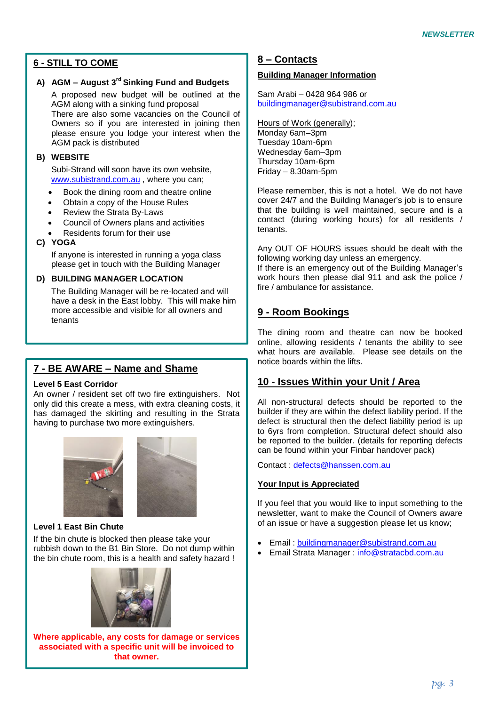# **6 - STILL TO COME**

# **A) AGM – August 3rd Sinking Fund and Budgets**

A proposed new budget will be outlined at the AGM along with a sinking fund proposal There are also some vacancies on the Council of Owners so if you are interested in joining then please ensure you lodge your interest when the AGM pack is distributed

### **B) WEBSITE**

Subi-Strand will soon have its own website, [www.subistrand.com.au](http://www.subistrand.com.au/) , where you can;

- Book the dining room and theatre online
- Obtain a copy of the House Rules
- Review the Strata By-Laws
- Council of Owners plans and activities
- Residents forum for their use

### **C) YOGA**

If anyone is interested in running a yoga class please get in touch with the Building Manager

### **D) BUILDING MANAGER LOCATION**

The Building Manager will be re-located and will have a desk in the East lobby. This will make him more accessible and visible for all owners and tenants

# **7 - BE AWARE – Name and Shame**

#### **Level 5 East Corridor**

An owner / resident set off two fire extinguishers. Not only did this create a mess, with extra cleaning costs, it has damaged the skirting and resulting in the Strata having to purchase two more extinguishers.



### **Level 1 East Bin Chute**

If the bin chute is blocked then please take your rubbish down to the B1 Bin Store. Do not dump within the bin chute room, this is a health and safety hazard !



**Where applicable, any costs for damage or services associated with a specific unit will be invoiced to that owner.**

## **8 – Contacts**

### **Building Manager Information**

Sam Arabi – 0428 964 986 or [buildingmanager@subistrand.com.au](mailto:buildingmanager@subistrand.com.au)

Hours of Work (generally); Monday 6am–3pm Tuesday 10am-6pm Wednesday 6am–3pm Thursday 10am-6pm Friday – 8.30am-5pm

Please remember, this is not a hotel. We do not have cover 24/7 and the Building Manager's job is to ensure that the building is well maintained, secure and is a contact (during working hours) for all residents / tenants.

Any OUT OF HOURS issues should be dealt with the following working day unless an emergency.

If there is an emergency out of the Building Manager's work hours then please dial 911 and ask the police / fire / ambulance for assistance.

# **9 - Room Bookings**

The dining room and theatre can now be booked online, allowing residents / tenants the ability to see what hours are available. Please see details on the notice boards within the lifts.

## **10 - Issues Within your Unit / Area**

All non-structural defects should be reported to the builder if they are within the defect liability period. If the defect is structural then the defect liability period is up to 6yrs from completion. Structural defect should also be reported to the builder. (details for reporting defects can be found within your Finbar handover pack)

Contact : [defects@hanssen.com.au](mailto:defects@hanssen.com.au)

### **Your Input is Appreciated**

If you feel that you would like to input something to the newsletter, want to make the Council of Owners aware of an issue or have a suggestion please let us know;

- Email : [buildingmanager@subistrand.com.au](mailto:buildingmanager@subistrand.com.au)
- Email Strata Manager : [info@stratacbd.com.au](mailto:info@stratacbd.com.au)